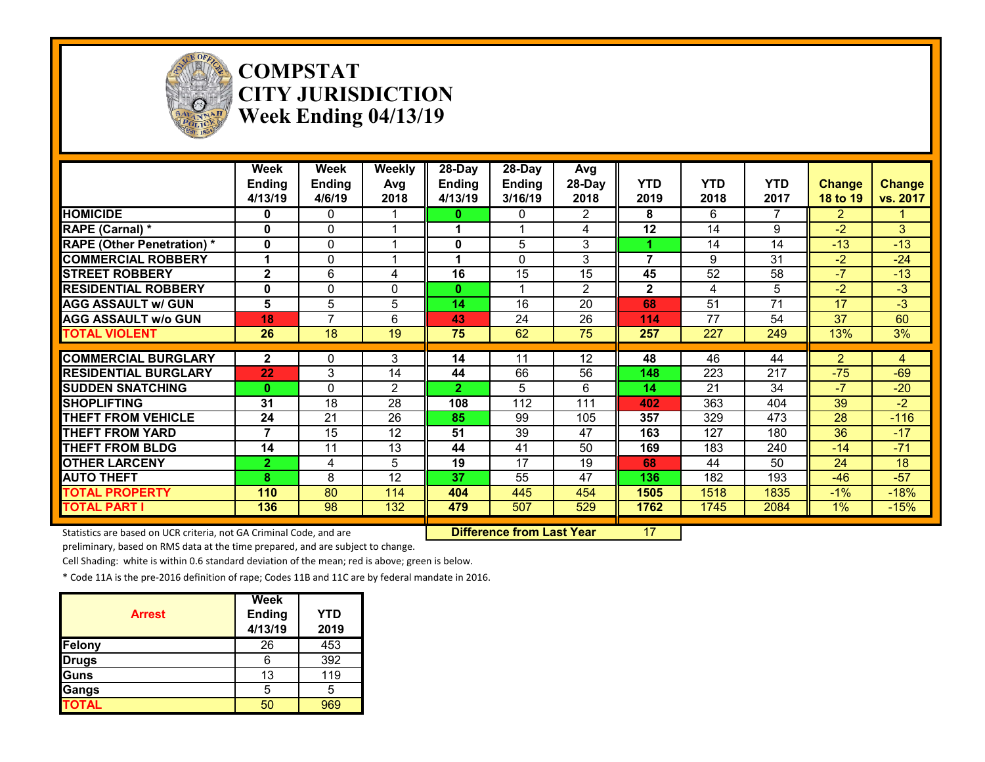

#### **COMPSTAT CITY JURISDICTION Week Ending 04/13/19**

|                                                           | Week<br><b>Ending</b><br>4/13/19 | Week<br>Ending<br>4/6/19 | Weekly<br>Avg<br>2018 | 28-Day<br><b>Ending</b><br>4/13/19 | 28-Day<br><b>Ending</b><br>3/16/19 | Avg<br>28-Day<br>2018 | <b>YTD</b><br>2019 | <b>YTD</b><br>2018 | <b>YTD</b><br>2017 | <b>Change</b><br>18 to 19 | <b>Change</b><br>vs. 2017 |
|-----------------------------------------------------------|----------------------------------|--------------------------|-----------------------|------------------------------------|------------------------------------|-----------------------|--------------------|--------------------|--------------------|---------------------------|---------------------------|
| <b>HOMICIDE</b>                                           | 0                                | $\mathbf{0}$             |                       | 0                                  | $\mathbf{0}$                       | $\overline{2}$        | 8                  | 6                  | 7                  | $\overline{2}$            |                           |
| RAPE (Carnal) *                                           | $\mathbf{0}$                     | 0                        |                       | 1                                  |                                    | 4                     | 12                 | 14                 | 9                  | $-2$                      | 3                         |
| <b>RAPE (Other Penetration) *</b>                         | $\mathbf{0}$                     | 0                        |                       | 0                                  | 5                                  | 3                     |                    | 14                 | 14                 | $-13$                     | $-13$                     |
| <b>COMMERCIAL ROBBERY</b>                                 |                                  | $\Omega$                 |                       | 1                                  | $\Omega$                           | 3                     | 7                  | 9                  | 31                 | $-2$                      | $-24$                     |
| <b>STREET ROBBERY</b>                                     | $\overline{2}$                   | 6                        | 4                     | 16                                 | 15                                 | 15                    | 45                 | 52                 | 58                 | $-7$                      | $-13$                     |
| <b>RESIDENTIAL ROBBERY</b>                                | 0                                | $\Omega$                 | $\mathbf{0}$          | 0                                  |                                    | $\overline{2}$        | $\mathbf{2}$       | 4                  | 5                  | $-2$                      | $-3$                      |
| <b>AGG ASSAULT w/ GUN</b>                                 | 5                                | 5                        | 5                     | 14                                 | 16                                 | 20                    | 68                 | 51                 | 71                 | 17                        | $-3$                      |
| <b>AGG ASSAULT w/o GUN</b>                                | 18                               | $\overline{7}$           | 6                     | 43                                 | 24                                 | 26                    | 114                | 77                 | 54                 | 37                        | 60                        |
| <b>TOTAL VIOLENT</b>                                      | 26                               | 18                       | 19                    | 75                                 | 62                                 | 75                    | 257                | 227                | 249                | 13%                       | 3%                        |
|                                                           |                                  |                          |                       |                                    |                                    |                       |                    |                    |                    |                           |                           |
|                                                           |                                  |                          |                       |                                    |                                    |                       |                    |                    |                    |                           |                           |
|                                                           | $\mathbf{2}$                     | 0                        | 3                     | 14                                 | 11                                 | 12                    | 48                 | 46                 | 44                 | 2                         | 4                         |
| <b>COMMERCIAL BURGLARY</b><br><b>RESIDENTIAL BURGLARY</b> | 22                               | 3                        | 14                    | 44                                 | 66                                 | 56                    | 148                | 223                | 217                | $-75$                     | $-69$                     |
| <b>SUDDEN SNATCHING</b>                                   | $\mathbf{0}$                     | $\Omega$                 | $\mathcal{P}$         | $\mathbf{2}$                       | 5                                  | 6                     | 14                 | 21                 | 34                 | $-7$                      | $-20$                     |
| <b>SHOPLIFTING</b>                                        | 31                               | 18                       | 28                    | 108                                | 112                                | 111                   | 402                | 363                | 404                | 39                        | $-2$                      |
| <b>THEFT FROM VEHICLE</b>                                 | 24                               | 21                       | 26                    | 85                                 | 99                                 | 105                   | 357                | 329                | 473                | 28                        | $-116$                    |
| <b>THEFT FROM YARD</b>                                    |                                  | 15                       | 12                    | 51                                 | 39                                 | 47                    | 163                | 127                | 180                | 36                        | $-17$                     |
| <b>THEFT FROM BLDG</b>                                    | 14                               | 11                       | 13                    | 44                                 | 41                                 | 50                    | 169                | 183                | 240                | $-14$                     | $-71$                     |
| <b>OTHER LARCENY</b>                                      | 2.                               | 4                        | 5                     | 19                                 | 17                                 | 19                    | 68                 | 44                 | 50                 | 24                        | 18                        |
| <b>AUTO THEFT</b>                                         | 8                                | 8                        | 12                    | 37                                 | 55                                 | 47                    | 136                | 182                | 193                | $-46$                     | $-57$                     |
| <b>TOTAL PROPERTY</b>                                     | 110                              | 80                       | 114                   | 404                                | 445                                | 454                   | 1505               | 1518               | 1835               | $-1%$                     | $-18%$                    |
| <b>TOTAL PART I</b>                                       | 136                              | 98                       | 132                   | 479                                | 507                                | 529                   | 1762               | 1745               | 2084               | $1\%$                     | $-15%$                    |

Statistics are based on UCR criteria, not GA Criminal Code, and are **Difference from Last Year** 17

preliminary, based on RMS data at the time prepared, and are subject to change.

Cell Shading: white is within 0.6 standard deviation of the mean; red is above; green is below.

| <b>Arrest</b> | <b>Week</b><br><b>Ending</b><br>4/13/19 | <b>YTD</b><br>2019 |
|---------------|-----------------------------------------|--------------------|
| Felony        | 26                                      | 453                |
| <b>Drugs</b>  | 6                                       | 392                |
| Guns          | 13                                      | 119                |
| Gangs         | 5                                       | 5                  |
| <b>TOTAL</b>  |                                         |                    |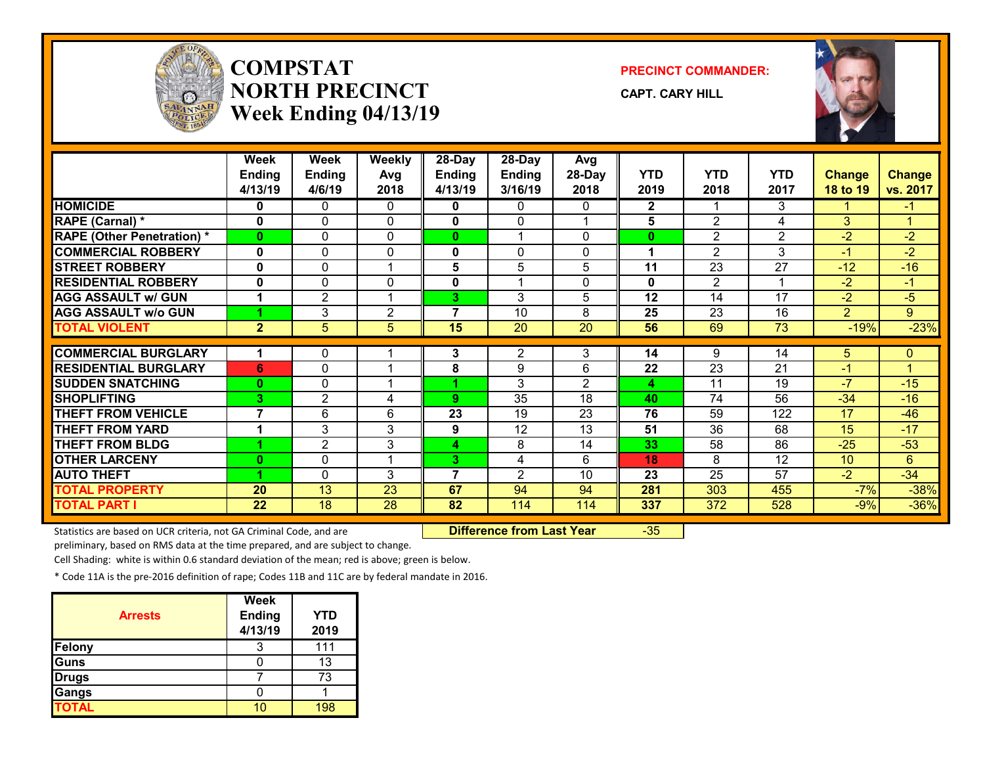

## **COMPSTATNORTH PRECINCTWeek Ending 04/13/19**

**PRECINCT COMMANDER:**

**CAPT. CARY HILL**



|                                   | Week<br><b>Ending</b>    | <b>Week</b><br><b>Ending</b> | <b>Weekly</b><br>Avg    | 28-Day<br><b>Ending</b> | 28-Day<br><b>Ending</b> | Avg<br>28-Day  | <b>YTD</b>   | <b>YTD</b>      | <b>YTD</b>      | <b>Change</b>   | <b>Change</b>  |
|-----------------------------------|--------------------------|------------------------------|-------------------------|-------------------------|-------------------------|----------------|--------------|-----------------|-----------------|-----------------|----------------|
|                                   | 4/13/19                  | 4/6/19                       | 2018                    | 4/13/19                 | 3/16/19                 | 2018           | 2019         | 2018            | 2017            | <b>18 to 19</b> | vs. 2017       |
| <b>HOMICIDE</b>                   | 0                        | 0                            | 0                       | 0                       | $\Omega$                | 0              | $\mathbf{2}$ |                 | 3               |                 | -1             |
| RAPE (Carnal) *                   | $\mathbf{0}$             | 0                            | $\mathbf{0}$            | 0                       | $\Omega$                |                | 5            | $\overline{2}$  | 4               | 3               | -4             |
| <b>RAPE (Other Penetration)</b> * | $\bf{0}$                 | $\mathbf{0}$                 | $\mathbf{0}$            | $\mathbf{0}$            | 1                       | 0              | $\bf{0}$     | $\overline{2}$  | 2               | $-2$            | $-2$           |
| <b>COMMERCIAL ROBBERY</b>         | $\mathbf{0}$             | $\mathbf{0}$                 | $\mathbf{0}$            | $\mathbf 0$             | $\mathbf{0}$            | 0              | 1            | $\overline{2}$  | 3               | $-1$            | $-2$           |
| <b>STREET ROBBERY</b>             | 0                        | $\mathbf{0}$                 | -1                      | 5                       | 5                       | 5              | 11           | 23              | 27              | $-12$           | $-16$          |
| <b>RESIDENTIAL ROBBERY</b>        | 0                        | 0                            | 0                       | 0                       | 1                       | 0              | $\mathbf 0$  | $\overline{2}$  | -4              | $-2$            | $-1$           |
| <b>AGG ASSAULT w/ GUN</b>         | 1                        | $\overline{2}$               |                         | 3                       | 3                       | 5              | 12           | 14              | $\overline{17}$ | $-2$            | $-5$           |
| <b>AGG ASSAULT w/o GUN</b>        |                          | 3                            | $\overline{2}$          | $\overline{7}$          | 10                      | 8              | 25           | 23              | 16              | $\overline{2}$  | $9^{\circ}$    |
| <b>TOTAL VIOLENT</b>              | $\overline{2}$           | $5\phantom{.}$               | 5                       | 15                      | 20                      | 20             | 56           | 69              | 73              | $-19%$          | $-23%$         |
|                                   |                          |                              |                         |                         |                         |                |              |                 |                 |                 |                |
| <b>COMMERCIAL BURGLARY</b>        |                          | 0                            |                         | 3                       | $\overline{2}$          | 3              | 14           | 9               | 14              | 5               | $\mathbf{0}$   |
| <b>RESIDENTIAL BURGLARY</b>       | 6                        | 0                            |                         | 8                       | 9                       | 6              | 22           | 23              | 21              | $-1$            |                |
| <b>SUDDEN SNATCHING</b>           | $\bf{0}$                 | 0                            | $\overline{\mathbf{A}}$ |                         | 3                       | $\overline{2}$ | 4            | 11              | 19              | $-7$            | $-15$          |
| <b>SHOPLIFTING</b>                | 3                        | $\overline{2}$               | 4                       | 9                       | 35                      | 18             | 40           | 74              | 56              | $-34$           | $-16$          |
| <b>THEFT FROM VEHICLE</b>         | $\overline{\phantom{a}}$ | 6                            | 6                       | 23                      | 19                      | 23             | 76           | 59              | 122             | 17              | $-46$          |
| <b>THEFT FROM YARD</b>            | $\blacktriangleleft$     | 3                            | 3                       | 9                       | $\overline{12}$         | 13             | 51           | 36              | 68              | 15              | $-17$          |
| <b>THEFT FROM BLDG</b>            |                          | $\overline{2}$               | 3                       | 4                       | 8                       | 14             | 33           | 58              | 86              | $-25$           | $-53$          |
| <b>OTHER LARCENY</b>              | $\bf{0}$                 | 0                            | 1                       | 3                       | 4                       | 6              | 18           | 8               | 12              | 10              | $6\phantom{1}$ |
| <b>AUTO THEFT</b>                 |                          | $\mathbf{0}$                 | 3                       | $\overline{7}$          | $\overline{2}$          | 10             | 23           | $\overline{25}$ | $\overline{57}$ | $\overline{-2}$ | $-34$          |
| <b>TOTAL PROPERTY</b>             | 20                       | 13                           | 23                      | 67                      | 94                      | 94             | 281          | 303             | 455             | $-7%$           | $-38%$         |
| <b>TOTAL PART I</b>               | 22                       | 18                           | 28                      | 82                      | 114                     | 114            | 337          | 372             | 528             | $-9%$           | $-36%$         |

Statistics are based on UCR criteria, not GA Criminal Code, and are **Difference from Last Year** -35

preliminary, based on RMS data at the time prepared, and are subject to change.

Cell Shading: white is within 0.6 standard deviation of the mean; red is above; green is below.

| <b>Arrests</b> | <b>Week</b><br><b>Ending</b><br>4/13/19 | <b>YTD</b><br>2019 |
|----------------|-----------------------------------------|--------------------|
| <b>Felony</b>  |                                         | 111                |
| Guns           |                                         | 13                 |
| <b>Drugs</b>   |                                         | 73                 |
| Gangs          |                                         |                    |
| <b>TOTAL</b>   |                                         | 198                |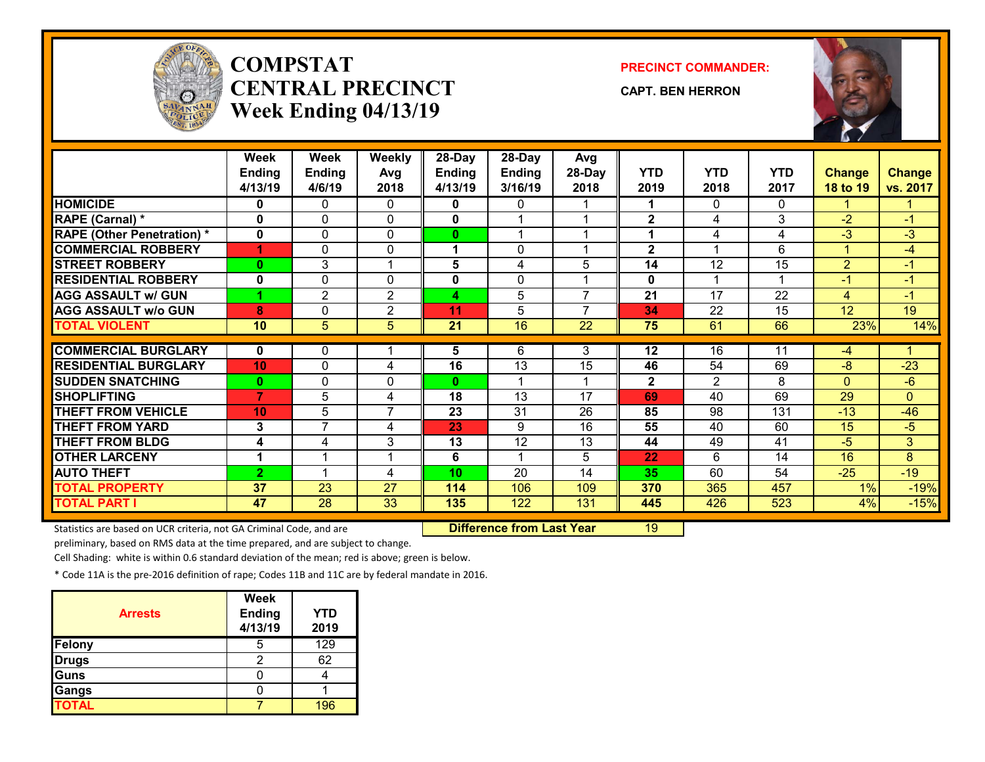

# **COMPSTATCENTRAL PRECINCTWeek Ending 04/13/19**

**PRECINCT COMMANDER:**

**CAPT. BEN HERRON**



|                                   | Week<br><b>Ending</b><br>4/13/19 | Week<br><b>Ending</b><br>4/6/19 | <b>Weekly</b><br>Avg<br>2018 | 28-Day<br><b>Ending</b><br>4/13/19 | $28$ -Day<br><b>Ending</b><br>3/16/19 | Avg<br>28-Day<br>2018 | <b>YTD</b><br>2019 | <b>YTD</b><br>2018 | <b>YTD</b><br>2017 | <b>Change</b><br>18 to 19 | <b>Change</b><br>vs. 2017 |
|-----------------------------------|----------------------------------|---------------------------------|------------------------------|------------------------------------|---------------------------------------|-----------------------|--------------------|--------------------|--------------------|---------------------------|---------------------------|
| <b>HOMICIDE</b>                   | 0                                | 0                               | 0                            | 0                                  | $\Omega$                              |                       | 1                  | 0                  | 0                  |                           |                           |
| <b>RAPE (Carnal) *</b>            | 0                                | 0                               | $\mathbf{0}$                 | $\mathbf{0}$                       | 1                                     |                       | $\mathbf{2}$       | 4                  | 3                  | $-2$                      | $-1$                      |
| <b>RAPE (Other Penetration) *</b> | $\mathbf{0}$                     | 0                               | $\mathbf{0}$                 | $\mathbf{0}$                       | 4                                     |                       | 1                  | 4                  | 4                  | $-3$                      | $-3$                      |
| <b>COMMERCIAL ROBBERY</b>         | 1                                | 0                               | $\Omega$                     | 1                                  | $\mathbf{0}$                          |                       | $\mathbf{2}$       | 4                  | 6                  | 1                         | $-4$                      |
| <b>STREET ROBBERY</b>             | $\mathbf{0}$                     | 3                               | $\overline{ }$               | 5                                  | 4                                     | 5                     | 14                 | $\overline{12}$    | 15                 | $\overline{2}$            | $-1$                      |
| <b>RESIDENTIAL ROBBERY</b>        | $\mathbf 0$                      | 0                               | $\Omega$                     | $\mathbf 0$                        | $\mathbf{0}$                          |                       | $\mathbf 0$        | 1                  | 1                  | $-1$                      | $-1$                      |
| <b>AGG ASSAULT w/ GUN</b>         |                                  | $\overline{2}$                  | $\overline{2}$               | 4                                  | 5                                     | $\overline{7}$        | $\overline{21}$    | $\overline{17}$    | $\overline{22}$    | 4                         | $-1$                      |
| <b>AGG ASSAULT w/o GUN</b>        | 8                                | $\Omega$                        | $\overline{2}$               | 11                                 | 5                                     | $\overline{7}$        | 34                 | 22                 | 15                 | 12                        | 19                        |
| <b>TOTAL VIOLENT</b>              | 10                               | 5                               | 5                            | 21                                 | $\overline{16}$                       | 22                    | 75                 | 61                 | 66                 | 23%                       | 14%                       |
|                                   |                                  |                                 |                              |                                    |                                       |                       |                    |                    |                    |                           |                           |
| <b>COMMERCIAL BURGLARY</b>        | $\mathbf{0}$                     | 0                               |                              | 5                                  | 6                                     | 3                     | 12                 | 16                 | 11                 | $-4$                      |                           |
| <b>RESIDENTIAL BURGLARY</b>       | 10 <sup>1</sup>                  | 0                               | 4                            | 16                                 | 13                                    | 15                    | 46                 | 54                 | 69                 | $-8$                      | $-23$                     |
| <b>SUDDEN SNATCHING</b>           | $\mathbf{0}$                     | 0                               | $\Omega$                     | 0                                  | 1                                     |                       | $\mathbf{2}$       | $\overline{2}$     | 8                  | 0                         | $-6$                      |
| <b>SHOPLIFTING</b>                | $\overline{7}$                   | 5                               | 4                            | 18                                 | 13                                    | 17                    | 69                 | 40                 | 69                 | 29                        | $\Omega$                  |
| <b>THEFT FROM VEHICLE</b>         | 10 <sup>1</sup>                  | 5                               | $\overline{7}$               | 23                                 | 31                                    | 26                    | 85                 | 98                 | 131                | $-13$                     | $-46$                     |
| <b>THEFT FROM YARD</b>            | 3                                | $\overline{7}$                  | 4                            | 23                                 | 9                                     | 16                    | 55                 | 40                 | 60                 | 15                        | $-5$                      |
| <b>THEFT FROM BLDG</b>            | 4                                | 4                               | 3                            | 13                                 | 12                                    | 13                    | 44                 | 49                 | 41                 | -5                        | 3                         |
| <b>OTHER LARCENY</b>              | 1                                |                                 |                              | 6                                  | 1                                     | 5                     | 22                 | 6                  | 14                 | 16                        | 8                         |
| <b>AUTO THEFT</b>                 | $\overline{2}$                   |                                 | 4                            | 10                                 | $\overline{20}$                       | 14                    | 35                 | 60                 | 54                 | $-25$                     | $-19$                     |
| <b>TOTAL PROPERTY</b>             | 37                               | 23                              | 27                           | 114                                | 106                                   | 109                   | 370                | 365                | 457                | 1%                        | $-19%$                    |
| <b>TOTAL PART I</b>               | 47                               | 28                              | 33                           | 135                                | 122                                   | 131                   | 445                | 426                | 523                | 4%                        | $-15%$                    |

Statistics are based on UCR criteria, not GA Criminal Code, and are **Difference from Last Year** 19

preliminary, based on RMS data at the time prepared, and are subject to change.

Cell Shading: white is within 0.6 standard deviation of the mean; red is above; green is below.

| <b>Arrests</b> | <b>Week</b><br><b>Ending</b><br>4/13/19 | <b>YTD</b><br>2019 |
|----------------|-----------------------------------------|--------------------|
| Felony         | b                                       | 129                |
| Drugs          |                                         | 62                 |
| Guns           |                                         |                    |
| Gangs          |                                         |                    |
| <b>TOTAL</b>   |                                         | 196                |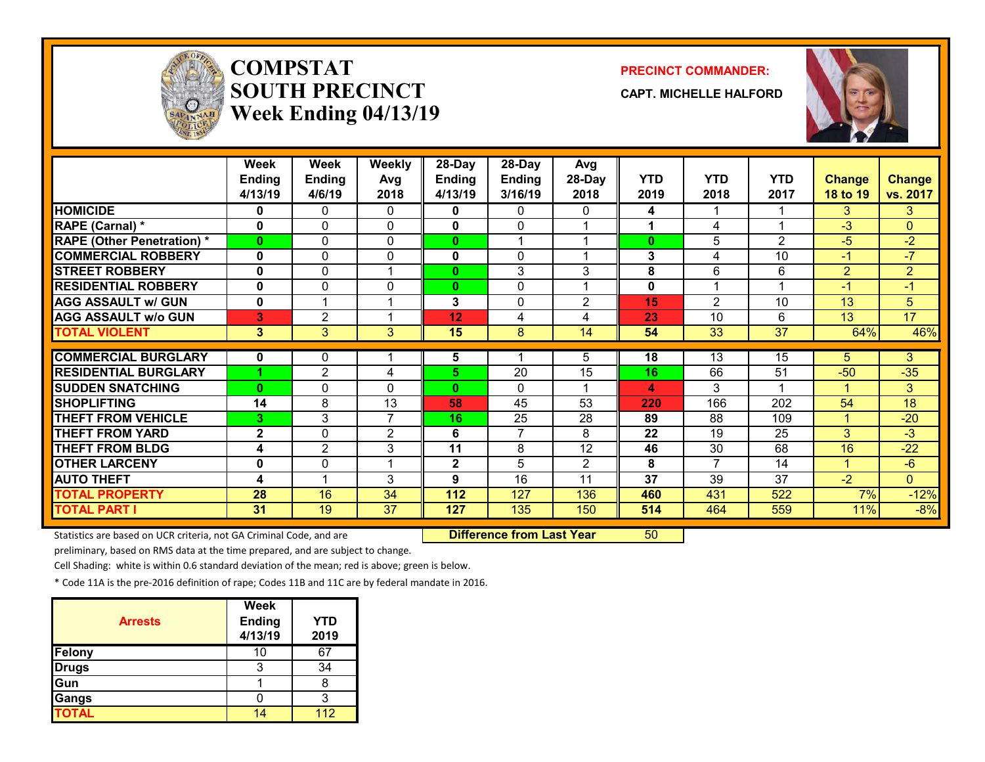

# **COMPSTATSOUTH PRECINCTWeek Ending 04/13/19**

#### **PRECINCT COMMANDER:**

**CAPT. MICHELLE HALFORD**



|                                   | Week          | Week           | Weekly         | $28$ -Day    | 28-Day         | Avg             |              |                         |                |                |                 |
|-----------------------------------|---------------|----------------|----------------|--------------|----------------|-----------------|--------------|-------------------------|----------------|----------------|-----------------|
|                                   | <b>Ending</b> | <b>Ending</b>  | Avg            | Ending       | <b>Ending</b>  | 28-Day          | <b>YTD</b>   | <b>YTD</b>              | <b>YTD</b>     | <b>Change</b>  | Change          |
|                                   | 4/13/19       | 4/6/19         | 2018           | 4/13/19      | 3/16/19        | 2018            | 2019         | 2018                    | 2017           | 18 to 19       | vs. 2017        |
| <b>HOMICIDE</b>                   | 0             | 0              | $\mathbf{0}$   | 0            | 0              | 0               | 4            |                         |                | 3.             | 3               |
| RAPE (Carnal) *                   | $\bf{0}$      | 0              | $\mathbf{0}$   | $\mathbf 0$  | $\Omega$       |                 | 1            | 4                       |                | $-3$           | $\overline{0}$  |
| <b>RAPE (Other Penetration) *</b> | $\bf{0}$      | 0              | $\Omega$       | $\mathbf{0}$ |                |                 | $\mathbf{0}$ | 5                       | $\overline{2}$ | $-5$           | $-2$            |
| <b>COMMERCIAL ROBBERY</b>         | $\bf{0}$      | 0              | 0              | 0            | $\mathbf{0}$   |                 | 3            | 4                       | 10             | $-1$           | $-7$            |
| <b>STREET ROBBERY</b>             | 0             | 0              | 1              | $\mathbf{0}$ | 3              | 3               | 8            | 6                       | 6              | $\overline{2}$ | $\overline{2}$  |
| <b>RESIDENTIAL ROBBERY</b>        | $\bf{0}$      | 0              | $\mathbf{0}$   | $\mathbf{0}$ | $\mathbf{0}$   |                 | 0            | $\overline{\mathbf{A}}$ |                | $-1$           | $-1$            |
| <b>AGG ASSAULT w/ GUN</b>         | 0             | $\overline{ }$ | 1              | 3            | 0              | $\overline{2}$  | 15           | $\overline{2}$          | 10             | 13             | 5               |
| <b>AGG ASSAULT w/o GUN</b>        | 3             | $\overline{2}$ | 1              | 12           | 4              | 4               | 23           | 10                      | 6              | 13             | $\overline{17}$ |
| <b>TOTAL VIOLENT</b>              | 3             | 3              | 3              | 15           | 8              | 14              | 54           | 33                      | 37             | 64%            | 46%             |
|                                   |               |                |                |              |                |                 |              |                         |                |                |                 |
| <b>COMMERCIAL BURGLARY</b>        | 0             | 0              |                | 5            |                | 5               | 18           | 13                      | 15             | 5.             | 3               |
| <b>RESIDENTIAL BURGLARY</b>       |               | $\overline{2}$ | 4              | 5            | 20             | 15              | 16           | 66                      | 51             | $-50$          | $-35$           |
| <b>SUDDEN SNATCHING</b>           | $\bf{0}$      | 0              | $\mathbf{0}$   | $\mathbf{0}$ | $\Omega$       |                 | 4            | 3                       |                |                | 3               |
| <b>SHOPLIFTING</b>                | 14            | 8              | 13             | 58           | 45             | $\overline{53}$ | 220          | 166                     | 202            | 54             | $\overline{18}$ |
| <b>THEFT FROM VEHICLE</b>         | 3             | 3              | 7              | 16           | 25             | 28              | 89           | 88                      | 109            |                | $-20$           |
| <b>THEFT FROM YARD</b>            | $\mathbf{2}$  | 0              | $\overline{2}$ | 6            | $\overline{7}$ | 8               | 22           | 19                      | 25             | 3 <sup>1</sup> | $-3$            |
| <b>THEFT FROM BLDG</b>            | 4             | $\overline{2}$ | 3              | 11           | 8              | 12              | 46           | 30                      | 68             | 16             | $-22$           |
| <b>OTHER LARCENY</b>              | 0             | 0              | 1              | $\mathbf 2$  | 5              | $\overline{2}$  | 8            | 7                       | 14             | 1              | $-6$            |
| <b>AUTO THEFT</b>                 | 4             |                | 3              | 9            | 16             | 11              | 37           | 39                      | 37             | $-2$           | $\mathbf{0}$    |
| <b>TOTAL PROPERTY</b>             | 28            | 16             | 34             | 112          | 127            | 136             | 460          | 431                     | 522            | 7%             | $-12%$          |
| <b>TOTAL PART I</b>               | 31            | 19             | 37             | 127          | 135            | 150             | 514          | 464                     | 559            | 11%            | $-8%$           |

Statistics are based on UCR criteria, not GA Criminal Code, and are **Difference from Last Year** 50

preliminary, based on RMS data at the time prepared, and are subject to change.

Cell Shading: white is within 0.6 standard deviation of the mean; red is above; green is below.

| <b>Arrests</b> | <b>Week</b><br><b>Ending</b><br>4/13/19 | <b>YTD</b><br>2019 |
|----------------|-----------------------------------------|--------------------|
| Felony         | 10                                      | 67                 |
| <b>Drugs</b>   | 3                                       | 34                 |
| Gun            |                                         |                    |
| Gangs          |                                         |                    |
| <b>TOTAL</b>   |                                         | 112                |